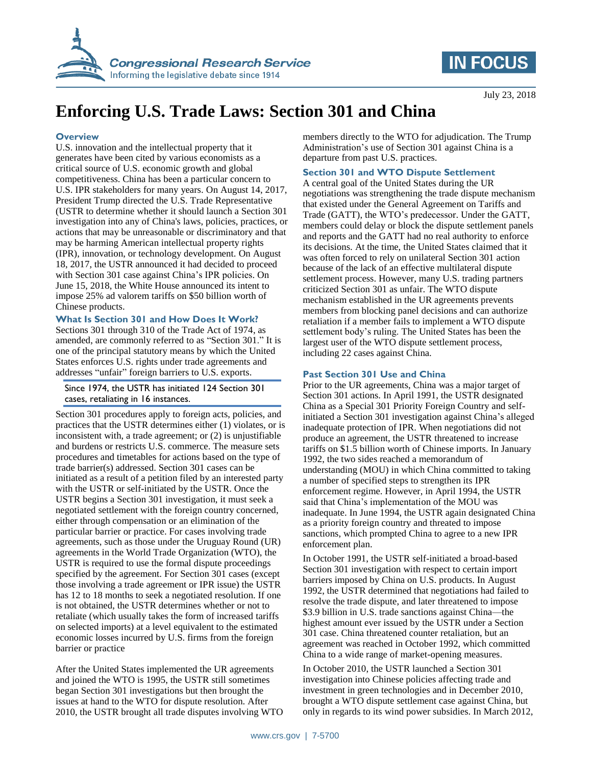

# **IN FOCUS**

# **Enforcing U.S. Trade Laws: Section 301 and China**

#### **Overview**

U.S. innovation and the intellectual property that it generates have been cited by various economists as a critical source of U.S. economic growth and global competitiveness. China has been a particular concern to U.S. IPR stakeholders for many years. On August 14, 2017, President Trump directed the U.S. Trade Representative (USTR to determine whether it should launch a Section 301 investigation into any of China's laws, policies, practices, or actions that may be unreasonable or discriminatory and that may be harming American intellectual property rights (IPR), innovation, or technology development. On August 18, 2017, the USTR announced it had decided to proceed with Section 301 case against China's IPR policies. On June 15, 2018, the White House announced its intent to impose 25% ad valorem tariffs on \$50 billion worth of Chinese products.

#### **What Is Section 301 and How Does It Work?**

Sections 301 through 310 of the Trade Act of 1974, as amended, are commonly referred to as "Section 301." It is one of the principal statutory means by which the United States enforces U.S. rights under trade agreements and addresses "unfair" foreign barriers to U.S. exports.

#### Since 1974, the USTR has initiated 124 Section 301 cases, retaliating in 16 instances.

Section 301 procedures apply to foreign acts, policies, and practices that the USTR determines either (1) violates, or is inconsistent with, a trade agreement; or (2) is unjustifiable and burdens or restricts U.S. commerce. The measure sets procedures and timetables for actions based on the type of trade barrier(s) addressed. Section 301 cases can be initiated as a result of a petition filed by an interested party with the USTR or self-initiated by the USTR. Once the USTR begins a Section 301 investigation, it must seek a negotiated settlement with the foreign country concerned, either through compensation or an elimination of the particular barrier or practice. For cases involving trade agreements, such as those under the Uruguay Round (UR) agreements in the World Trade Organization (WTO), the USTR is required to use the formal dispute proceedings specified by the agreement. For Section 301 cases (except those involving a trade agreement or IPR issue) the USTR has 12 to 18 months to seek a negotiated resolution. If one is not obtained, the USTR determines whether or not to retaliate (which usually takes the form of increased tariffs on selected imports) at a level equivalent to the estimated economic losses incurred by U.S. firms from the foreign barrier or practice

After the United States implemented the UR agreements and joined the WTO is 1995, the USTR still sometimes began Section 301 investigations but then brought the issues at hand to the WTO for dispute resolution. After 2010, the USTR brought all trade disputes involving WTO members directly to the WTO for adjudication. The Trump Administration's use of Section 301 against China is a departure from past U.S. practices.

## **Section 301 and WTO Dispute Settlement**

A central goal of the United States during the UR negotiations was strengthening the trade dispute mechanism that existed under the General Agreement on Tariffs and Trade (GATT), the WTO's predecessor. Under the GATT, members could delay or block the dispute settlement panels and reports and the GATT had no real authority to enforce its decisions. At the time, the United States claimed that it was often forced to rely on unilateral Section 301 action because of the lack of an effective multilateral dispute settlement process. However, many U.S. trading partners criticized Section 301 as unfair. The WTO dispute mechanism established in the UR agreements prevents members from blocking panel decisions and can authorize retaliation if a member fails to implement a WTO dispute settlement body's ruling. The United States has been the largest user of the WTO dispute settlement process, including 22 cases against China.

### **Past Section 301 Use and China**

Prior to the UR agreements, China was a major target of Section 301 actions. In April 1991, the USTR designated China as a Special 301 Priority Foreign Country and selfinitiated a Section 301 investigation against China's alleged inadequate protection of IPR. When negotiations did not produce an agreement, the USTR threatened to increase tariffs on \$1.5 billion worth of Chinese imports. In January 1992, the two sides reached a memorandum of understanding (MOU) in which China committed to taking a number of specified steps to strengthen its IPR enforcement regime. However, in April 1994, the USTR said that China's implementation of the MOU was inadequate. In June 1994, the USTR again designated China as a priority foreign country and threated to impose sanctions, which prompted China to agree to a new IPR enforcement plan.

In October 1991, the USTR self-initiated a broad-based Section 301 investigation with respect to certain import barriers imposed by China on U.S. products. In August 1992, the USTR determined that negotiations had failed to resolve the trade dispute, and later threatened to impose \$3.9 billion in U.S. trade sanctions against China—the highest amount ever issued by the USTR under a Section 301 case. China threatened counter retaliation, but an agreement was reached in October 1992, which committed China to a wide range of market-opening measures.

In October 2010, the USTR launched a Section 301 investigation into Chinese policies affecting trade and investment in green technologies and in December 2010, brought a WTO dispute settlement case against China, but only in regards to its wind power subsidies. In March 2012,